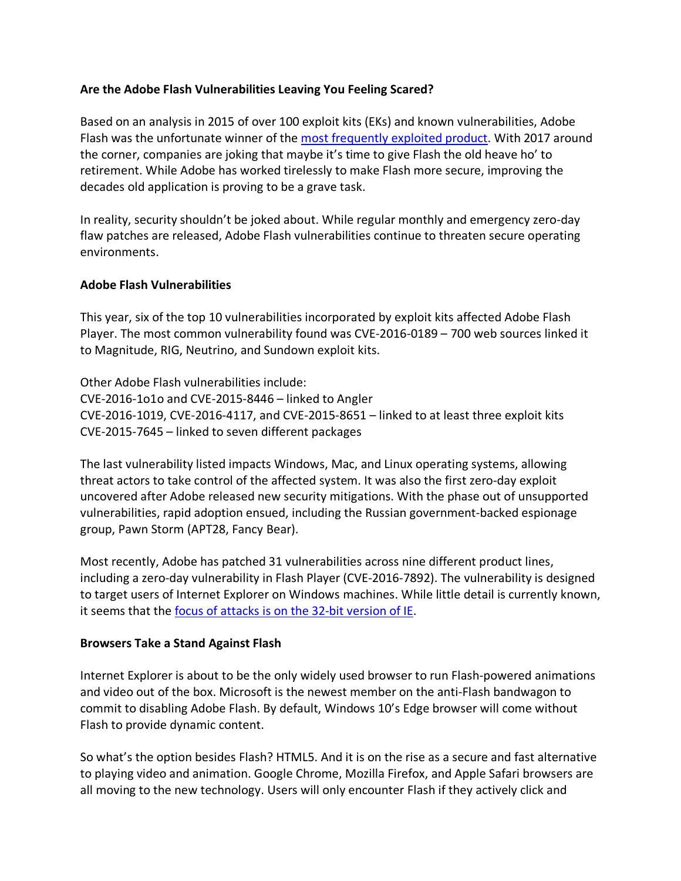## **Are the Adobe Flash Vulnerabilities Leaving You Feeling Scared?**

Based on an analysis in 2015 of over 100 exploit kits (EKs) and known vulnerabilities, Adobe Flash was the unfortunate winner of the most frequently exploited product. With 2017 around the corner, companies are joking that maybe it's time to give Flash the old heave ho' to retirement. While Adobe has worked tirelessly to make Flash more secure, improving the decades old application is proving to be a grave task.

In reality, security shouldn't be joked about. While regular monthly and emergency zero-day flaw patches are released, Adobe Flash vulnerabilities continue to threaten secure operating environments.

## **Adobe Flash Vulnerabilities**

This year, six of the top 10 vulnerabilities incorporated by exploit kits affected Adobe Flash Player. The most common vulnerability found was CVE-2016-0189 – 700 web sources linked it to Magnitude, RIG, Neutrino, and Sundown exploit kits.

Other Adobe Flash vulnerabilities include: CVE-2016-1o1o and CVE-2015-8446 – linked to Angler CVE-2016-1019, CVE-2016-4117, and CVE-2015-8651 – linked to at least three exploit kits CVE-2015-7645 – linked to seven different packages

The last vulnerability listed impacts Windows, Mac, and Linux operating systems, allowing threat actors to take control of the affected system. It was also the first zero-day exploit uncovered after Adobe released new security mitigations. With the phase out of unsupported vulnerabilities, rapid adoption ensued, including the Russian government-backed espionage group, Pawn Storm (APT28, Fancy Bear).

Most recently, Adobe has patched 31 vulnerabilities across nine different product lines, including a zero-day vulnerability in Flash Player (CVE-2016-7892). The vulnerability is designed to target users of Internet Explorer on Windows machines. While little detail is currently known, it seems that the focus of attacks is on the 32-bit version of IE.

## **Browsers Take a Stand Against Flash**

Internet Explorer is about to be the only widely used browser to run Flash-powered animations and video out of the box. Microsoft is the newest member on the anti-Flash bandwagon to commit to disabling Adobe Flash. By default, Windows 10's Edge browser will come without Flash to provide dynamic content.

So what's the option besides Flash? HTML5. And it is on the rise as a secure and fast alternative to playing video and animation. Google Chrome, Mozilla Firefox, and Apple Safari browsers are all moving to the new technology. Users will only encounter Flash if they actively click and